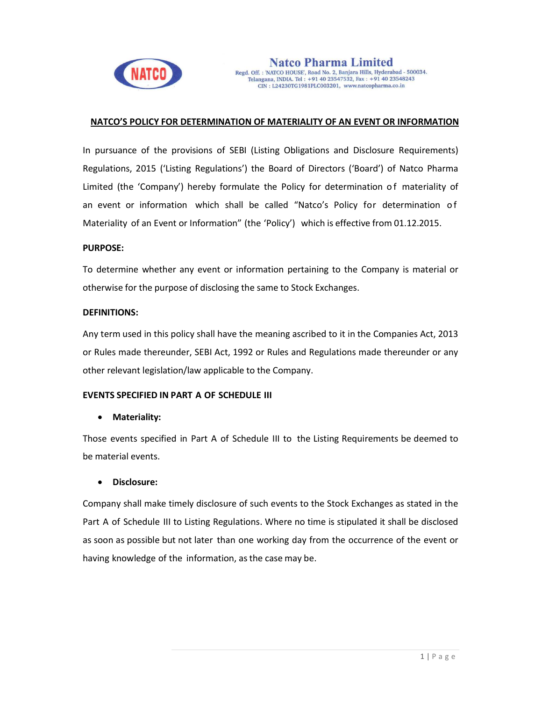

## NATCO'S POLICY FOR DETERMINATION OF MATERIALITY OF AN EVENT OR INFORMATION

In pursuance of the provisions of SEBI (Listing Obligations and Disclosure Requirements) Regulations, 2015 ('Listing Regulations') the Board of Directors ('Board') of Natco Pharma Limited (the 'Company') hereby formulate the Policy for determination of materiality of an event or information which shall be called "Natco's Policy for determination of Materiality of an Event or Information" (the 'Policy') which is effective from 01.12.2015.

### PURPOSE:

To determine whether any event or information pertaining to the Company is material or otherwise for the purpose of disclosing the same to Stock Exchanges.

### DEFINITIONS:

Any term used in this policy shall have the meaning ascribed to it in the Companies Act, 2013 or Rules made thereunder, SEBI Act, 1992 or Rules and Regulations made thereunder or any other relevant legislation/law applicable to the Company.

### EVENTS SPECIFIED IN PART A OF SCHEDULE III

### Materiality:

Those events specified in Part A of Schedule III to the Listing Requirements be deemed to be material events.

### Disclosure:

Company shall make timely disclosure of such events to the Stock Exchanges as stated in the Part A of Schedule III to Listing Regulations. Where no time is stipulated it shall be disclosed as soon as possible but not later than one working day from the occurrence of the event or having knowledge of the information, as the case may be.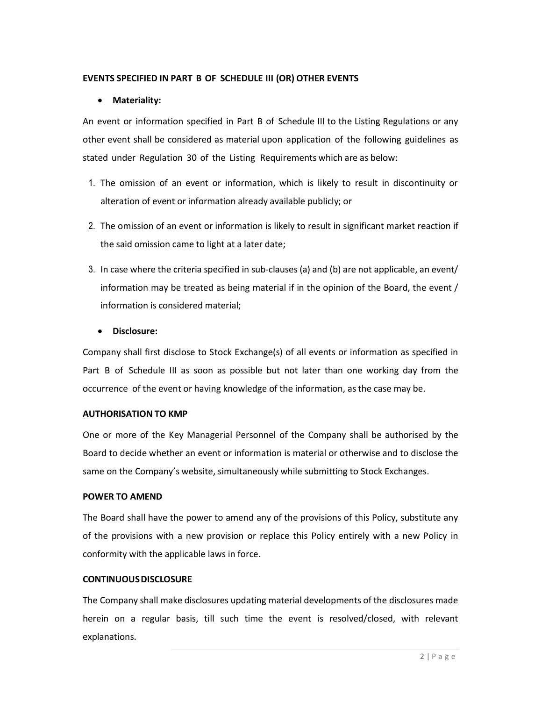# EVENTS SPECIFIED IN PART B OF SCHEDULE III (OR) OTHER EVENTS

# Materiality:

An event or information specified in Part B of Schedule III to the Listing Regulations or any other event shall be considered as material upon application of the following guidelines as stated under Regulation 30 of the Listing Requirements which are as below:

- 1. The omission of an event or information, which is likely to result in discontinuity or alteration of event or information already available publicly; or
- 2. The omission of an event or information is likely to result in significant market reaction if the said omission came to light at a later date;
- 3. In case where the criteria specified in sub-clauses (a) and (b) are not applicable, an event/ information may be treated as being material if in the opinion of the Board, the event / information is considered material;

# Disclosure:

Company shall first disclose to Stock Exchange(s) of all events or information as specified in Part B of Schedule III as soon as possible but not later than one working day from the occurrence of the event or having knowledge of the information, as the case may be.

## AUTHORISATION TO KMP

One or more of the Key Managerial Personnel of the Company shall be authorised by the Board to decide whether an event or information is material or otherwise and to disclose the same on the Company's website, simultaneously while submitting to Stock Exchanges.

## POWER TO AMEND

The Board shall have the power to amend any of the provisions of this Policy, substitute any of the provisions with a new provision or replace this Policy entirely with a new Policy in conformity with the applicable laws in force.

## CONTINUOUS DISCLOSURE

The Company shall make disclosures updating material developments of the disclosures made herein on a regular basis, till such time the event is resolved/closed, with relevant explanations.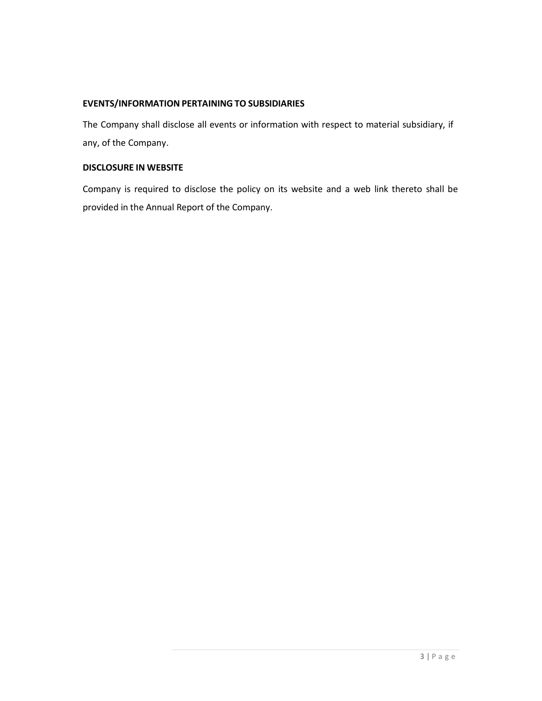# EVENTS/INFORMATION PERTAINING TO SUBSIDIARIES

The Company shall disclose all events or information with respect to material subsidiary, if any, of the Company.

# DISCLOSURE IN WEBSITE

Company is required to disclose the policy on its website and a web link thereto shall be provided in the Annual Report of the Company.